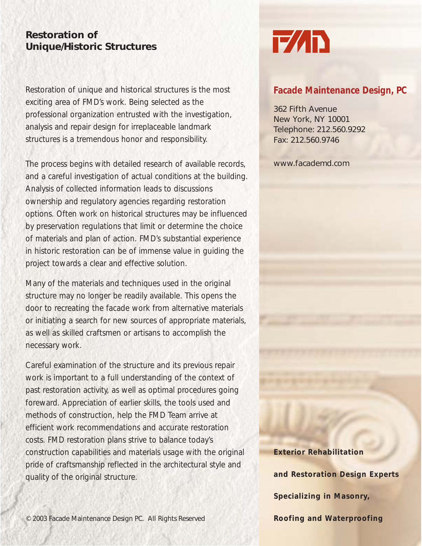## **Restoration of Unique/Historic Structures**

Restoration of unique and historical structures is the most exciting area of FMD's work. Being selected as the professional organization entrusted with the investigation, analysis and repair design for irreplaceable landmark structures is a tremendous honor and responsibility.

The process begins with detailed research of available records, and a careful investigation of actual conditions at the building. Analysis of collected information leads to discussions ownership and regulatory agencies regarding restoration options. Often work on historical structures may be influenced by preservation regulations that limit or determine the choice of materials and plan of action. FMD's substantial experience in historic restoration can be of immense value in guiding the project towards a clear and effective solution.

Many of the materials and techniques used in the original structure may no longer be readily available. This opens the door to recreating the facade work from alternative materials or initiating a search for new sources of appropriate materials, as well as skilled craftsmen or artisans to accomplish the necessary work.

Careful examination of the structure and its previous repair work is important to a full understanding of the context of past restoration activity, as well as optimal procedures going foreward. Appreciation of earlier skills, the tools used and methods of construction, help the FMD Team arrive at efficient work recommendations and accurate restoration costs. FMD restoration plans strive to balance today's construction capabilities and materials usage with the original pride of craftsmanship reflected in the architectural style and quality of the original structure.

## **Facade Maintenance Design, PC**

362 Fifth Avenue New York, NY 10001 Telephone: 212.560.9292 Fax: 212.560.9746

www.facademd.com

**Exterior Rehabilitation and Restoration Design Experts Specializing in Masonry, Roofing and Waterproofing**